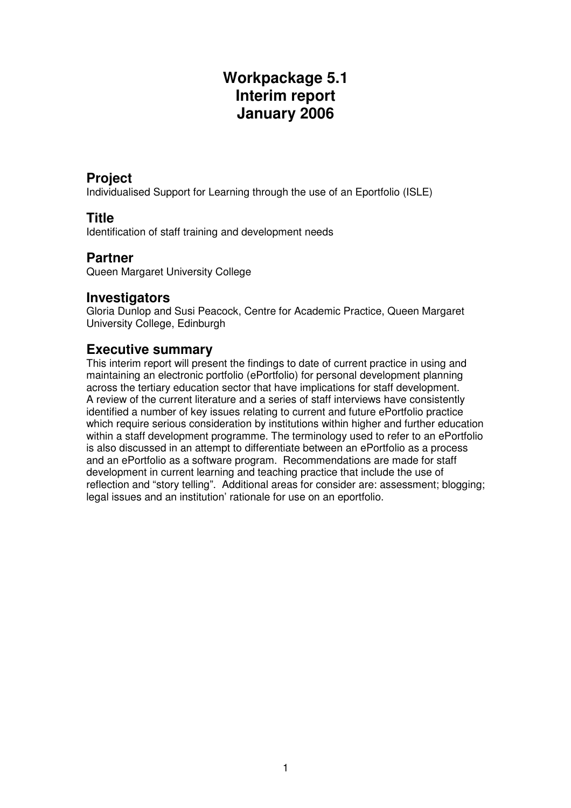# **Workpackage 5.1 Interim report January 2006**

### **Project**

Individualised Support for Learning through the use of an Eportfolio (ISLE)

### **Title**

Identification of staff training and development needs

#### **Partner**

Queen Margaret University College

### **Investigators**

Gloria Dunlop and Susi Peacock, Centre for Academic Practice, Queen Margaret University College, Edinburgh

### **Executive summary**

This interim report will present the findings to date of current practice in using and maintaining an electronic portfolio (ePortfolio) for personal development planning across the tertiary education sector that have implications for staff development. A review of the current literature and a series of staff interviews have consistently identified a number of key issues relating to current and future ePortfolio practice which require serious consideration by institutions within higher and further education within a staff development programme. The terminology used to refer to an ePortfolio is also discussed in an attempt to differentiate between an ePortfolio as a process and an ePortfolio as a software program. Recommendations are made for staff development in current learning and teaching practice that include the use of reflection and "story telling". Additional areas for consider are: assessment; blogging; legal issues and an institution' rationale for use on an eportfolio.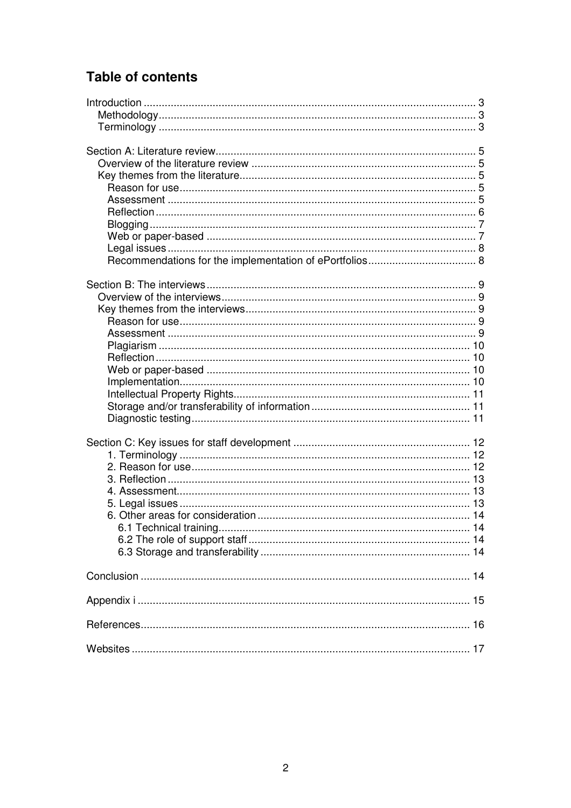# **Table of contents**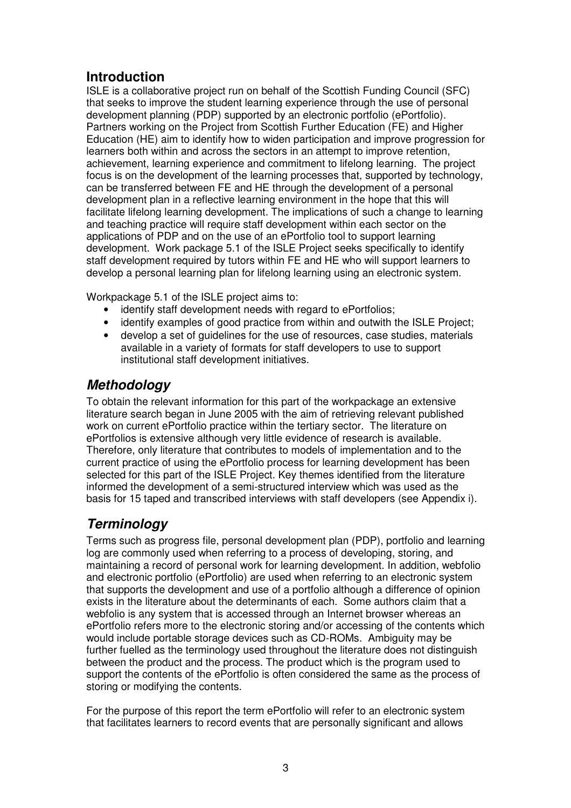## **Introduction**

ISLE is a collaborative project run on behalf of the Scottish Funding Council (SFC) that seeks to improve the student learning experience through the use of personal development planning (PDP) supported by an electronic portfolio (ePortfolio). Partners working on the Project from Scottish Further Education (FE) and Higher Education (HE) aim to identify how to widen participation and improve progression for learners both within and across the sectors in an attempt to improve retention, achievement, learning experience and commitment to lifelong learning. The project focus is on the development of the learning processes that, supported by technology, can be transferred between FE and HE through the development of a personal development plan in a reflective learning environment in the hope that this will facilitate lifelong learning development. The implications of such a change to learning and teaching practice will require staff development within each sector on the applications of PDP and on the use of an ePortfolio tool to support learning development. Work package 5.1 of the ISLE Project seeks specifically to identify staff development required by tutors within FE and HE who will support learners to develop a personal learning plan for lifelong learning using an electronic system.

Workpackage 5.1 of the ISLE project aims to:

- identify staff development needs with regard to ePortfolios;
- identify examples of good practice from within and outwith the ISLE Project;
- develop a set of guidelines for the use of resources, case studies, materials available in a variety of formats for staff developers to use to support institutional staff development initiatives.

## **Methodology**

To obtain the relevant information for this part of the workpackage an extensive literature search began in June 2005 with the aim of retrieving relevant published work on current ePortfolio practice within the tertiary sector. The literature on ePortfolios is extensive although very little evidence of research is available. Therefore, only literature that contributes to models of implementation and to the current practice of using the ePortfolio process for learning development has been selected for this part of the ISLE Project. Key themes identified from the literature informed the development of a semi-structured interview which was used as the basis for 15 taped and transcribed interviews with staff developers (see Appendix i).

## **Terminology**

Terms such as progress file, personal development plan (PDP), portfolio and learning log are commonly used when referring to a process of developing, storing, and maintaining a record of personal work for learning development. In addition, webfolio and electronic portfolio (ePortfolio) are used when referring to an electronic system that supports the development and use of a portfolio although a difference of opinion exists in the literature about the determinants of each. Some authors claim that a webfolio is any system that is accessed through an Internet browser whereas an ePortfolio refers more to the electronic storing and/or accessing of the contents which would include portable storage devices such as CD-ROMs. Ambiguity may be further fuelled as the terminology used throughout the literature does not distinguish between the product and the process. The product which is the program used to support the contents of the ePortfolio is often considered the same as the process of storing or modifying the contents.

For the purpose of this report the term ePortfolio will refer to an electronic system that facilitates learners to record events that are personally significant and allows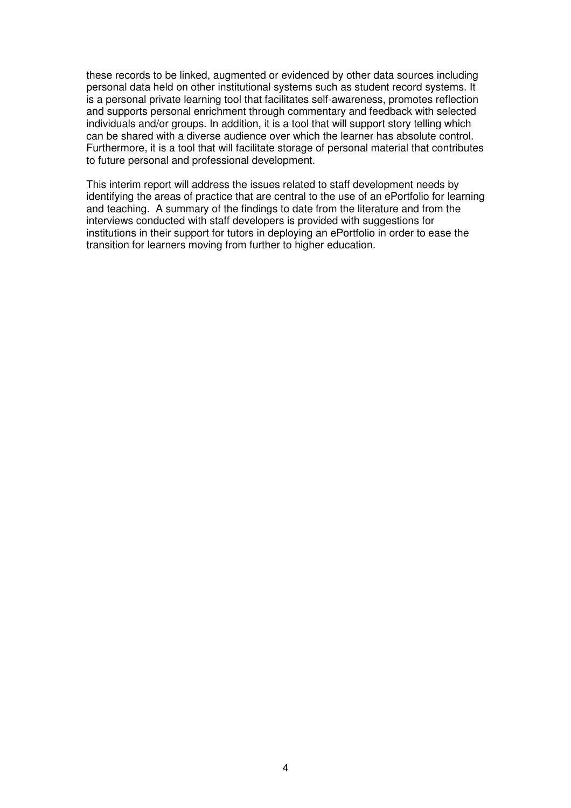these records to be linked, augmented or evidenced by other data sources including personal data held on other institutional systems such as student record systems. It is a personal private learning tool that facilitates self-awareness, promotes reflection and supports personal enrichment through commentary and feedback with selected individuals and/or groups. In addition, it is a tool that will support story telling which can be shared with a diverse audience over which the learner has absolute control. Furthermore, it is a tool that will facilitate storage of personal material that contributes to future personal and professional development.

This interim report will address the issues related to staff development needs by identifying the areas of practice that are central to the use of an ePortfolio for learning and teaching. A summary of the findings to date from the literature and from the interviews conducted with staff developers is provided with suggestions for institutions in their support for tutors in deploying an ePortfolio in order to ease the transition for learners moving from further to higher education.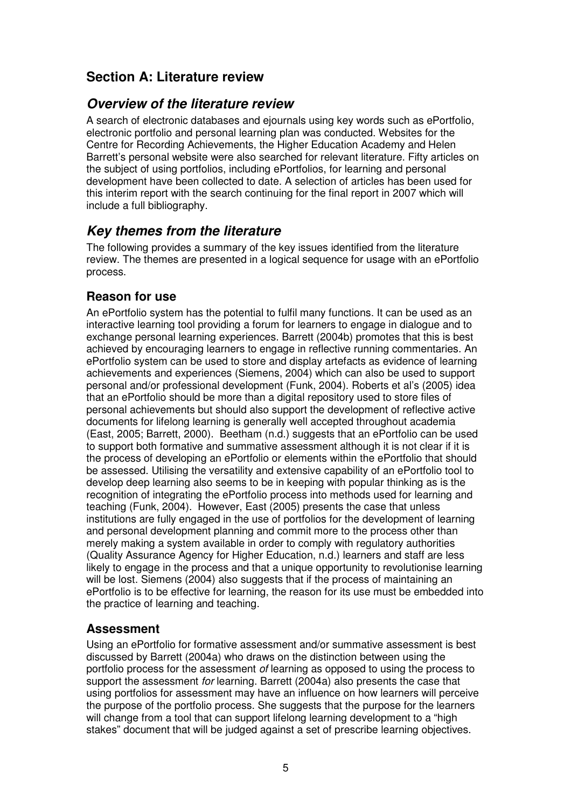## **Section A: Literature review**

#### **Overview of the literature review**

A search of electronic databases and ejournals using key words such as ePortfolio, electronic portfolio and personal learning plan was conducted. Websites for the Centre for Recording Achievements, the Higher Education Academy and Helen Barrett's personal website were also searched for relevant literature. Fifty articles on the subject of using portfolios, including ePortfolios, for learning and personal development have been collected to date. A selection of articles has been used for this interim report with the search continuing for the final report in 2007 which will include a full bibliography.

## **Key themes from the literature**

The following provides a summary of the key issues identified from the literature review. The themes are presented in a logical sequence for usage with an ePortfolio process.

### **Reason for use**

An ePortfolio system has the potential to fulfil many functions. It can be used as an interactive learning tool providing a forum for learners to engage in dialogue and to exchange personal learning experiences. Barrett (2004b) promotes that this is best achieved by encouraging learners to engage in reflective running commentaries. An ePortfolio system can be used to store and display artefacts as evidence of learning achievements and experiences (Siemens, 2004) which can also be used to support personal and/or professional development (Funk, 2004). Roberts et al's (2005) idea that an ePortfolio should be more than a digital repository used to store files of personal achievements but should also support the development of reflective active documents for lifelong learning is generally well accepted throughout academia (East, 2005; Barrett, 2000). Beetham (n.d.) suggests that an ePortfolio can be used to support both formative and summative assessment although it is not clear if it is the process of developing an ePortfolio or elements within the ePortfolio that should be assessed. Utilising the versatility and extensive capability of an ePortfolio tool to develop deep learning also seems to be in keeping with popular thinking as is the recognition of integrating the ePortfolio process into methods used for learning and teaching (Funk, 2004). However, East (2005) presents the case that unless institutions are fully engaged in the use of portfolios for the development of learning and personal development planning and commit more to the process other than merely making a system available in order to comply with regulatory authorities (Quality Assurance Agency for Higher Education, n.d.) learners and staff are less likely to engage in the process and that a unique opportunity to revolutionise learning will be lost. Siemens (2004) also suggests that if the process of maintaining an ePortfolio is to be effective for learning, the reason for its use must be embedded into the practice of learning and teaching.

#### **Assessment**

Using an ePortfolio for formative assessment and/or summative assessment is best discussed by Barrett (2004a) who draws on the distinction between using the portfolio process for the assessment of learning as opposed to using the process to support the assessment for learning. Barrett (2004a) also presents the case that using portfolios for assessment may have an influence on how learners will perceive the purpose of the portfolio process. She suggests that the purpose for the learners will change from a tool that can support lifelong learning development to a "high stakes" document that will be judged against a set of prescribe learning objectives.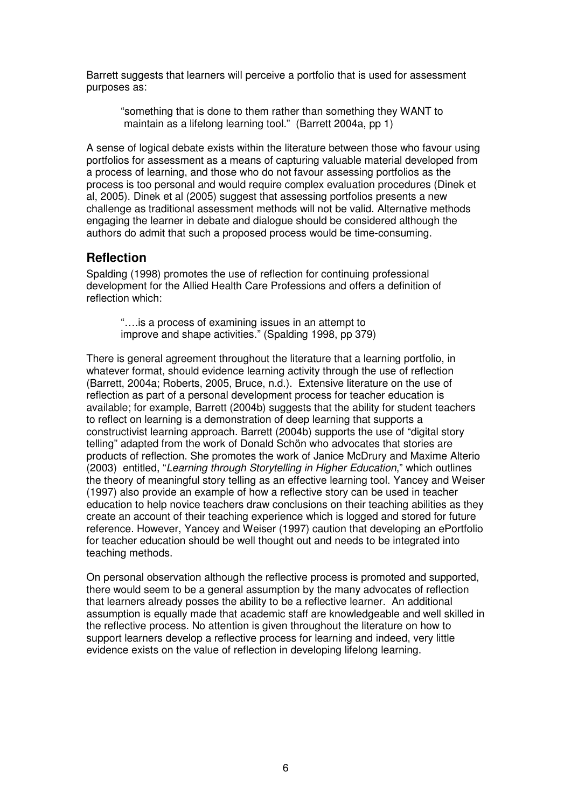Barrett suggests that learners will perceive a portfolio that is used for assessment purposes as:

"something that is done to them rather than something they WANT to maintain as a lifelong learning tool." (Barrett 2004a, pp 1)

A sense of logical debate exists within the literature between those who favour using portfolios for assessment as a means of capturing valuable material developed from a process of learning, and those who do not favour assessing portfolios as the process is too personal and would require complex evaluation procedures (Dinek et al, 2005). Dinek et al (2005) suggest that assessing portfolios presents a new challenge as traditional assessment methods will not be valid. Alternative methods engaging the learner in debate and dialogue should be considered although the authors do admit that such a proposed process would be time-consuming.

#### **Reflection**

Spalding (1998) promotes the use of reflection for continuing professional development for the Allied Health Care Professions and offers a definition of reflection which:

 "….is a process of examining issues in an attempt to improve and shape activities." (Spalding 1998, pp 379)

There is general agreement throughout the literature that a learning portfolio, in whatever format, should evidence learning activity through the use of reflection (Barrett, 2004a; Roberts, 2005, Bruce, n.d.). Extensive literature on the use of reflection as part of a personal development process for teacher education is available; for example, Barrett (2004b) suggests that the ability for student teachers to reflect on learning is a demonstration of deep learning that supports a constructivist learning approach. Barrett (2004b) supports the use of "digital story telling" adapted from the work of Donald Schön who advocates that stories are products of reflection. She promotes the work of Janice McDrury and Maxime Alterio (2003) entitled, "Learning through Storytelling in Higher Education," which outlines the theory of meaningful story telling as an effective learning tool. Yancey and Weiser (1997) also provide an example of how a reflective story can be used in teacher education to help novice teachers draw conclusions on their teaching abilities as they create an account of their teaching experience which is logged and stored for future reference. However, Yancey and Weiser (1997) caution that developing an ePortfolio for teacher education should be well thought out and needs to be integrated into teaching methods.

On personal observation although the reflective process is promoted and supported, there would seem to be a general assumption by the many advocates of reflection that learners already posses the ability to be a reflective learner. An additional assumption is equally made that academic staff are knowledgeable and well skilled in the reflective process. No attention is given throughout the literature on how to support learners develop a reflective process for learning and indeed, very little evidence exists on the value of reflection in developing lifelong learning.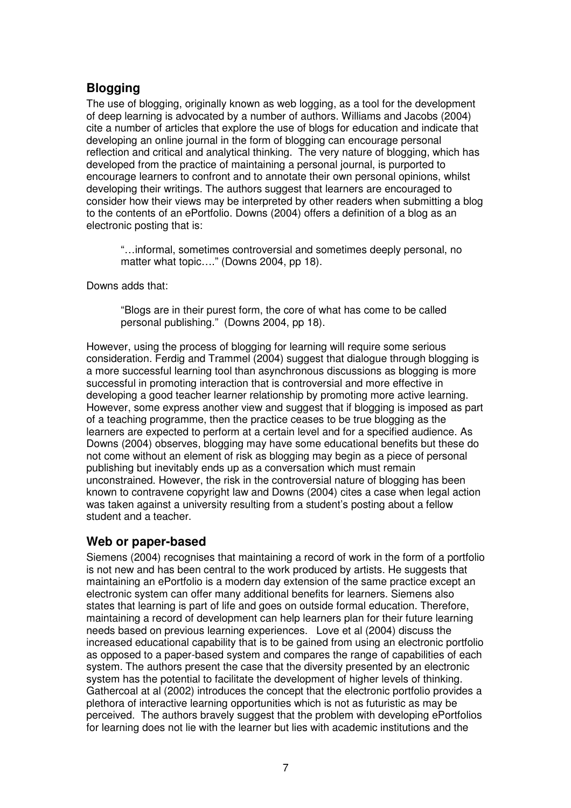## **Blogging**

The use of blogging, originally known as web logging, as a tool for the development of deep learning is advocated by a number of authors. Williams and Jacobs (2004) cite a number of articles that explore the use of blogs for education and indicate that developing an online journal in the form of blogging can encourage personal reflection and critical and analytical thinking. The very nature of blogging, which has developed from the practice of maintaining a personal journal, is purported to encourage learners to confront and to annotate their own personal opinions, whilst developing their writings. The authors suggest that learners are encouraged to consider how their views may be interpreted by other readers when submitting a blog to the contents of an ePortfolio. Downs (2004) offers a definition of a blog as an electronic posting that is:

"…informal, sometimes controversial and sometimes deeply personal, no matter what topic...." (Downs 2004, pp 18).

Downs adds that:

"Blogs are in their purest form, the core of what has come to be called personal publishing." (Downs 2004, pp 18).

However, using the process of blogging for learning will require some serious consideration. Ferdig and Trammel (2004) suggest that dialogue through blogging is a more successful learning tool than asynchronous discussions as blogging is more successful in promoting interaction that is controversial and more effective in developing a good teacher learner relationship by promoting more active learning. However, some express another view and suggest that if blogging is imposed as part of a teaching programme, then the practice ceases to be true blogging as the learners are expected to perform at a certain level and for a specified audience. As Downs (2004) observes, blogging may have some educational benefits but these do not come without an element of risk as blogging may begin as a piece of personal publishing but inevitably ends up as a conversation which must remain unconstrained. However, the risk in the controversial nature of blogging has been known to contravene copyright law and Downs (2004) cites a case when legal action was taken against a university resulting from a student's posting about a fellow student and a teacher.

#### **Web or paper-based**

Siemens (2004) recognises that maintaining a record of work in the form of a portfolio is not new and has been central to the work produced by artists. He suggests that maintaining an ePortfolio is a modern day extension of the same practice except an electronic system can offer many additional benefits for learners. Siemens also states that learning is part of life and goes on outside formal education. Therefore, maintaining a record of development can help learners plan for their future learning needs based on previous learning experiences. Love et al (2004) discuss the increased educational capability that is to be gained from using an electronic portfolio as opposed to a paper-based system and compares the range of capabilities of each system. The authors present the case that the diversity presented by an electronic system has the potential to facilitate the development of higher levels of thinking. Gathercoal at al (2002) introduces the concept that the electronic portfolio provides a plethora of interactive learning opportunities which is not as futuristic as may be perceived. The authors bravely suggest that the problem with developing ePortfolios for learning does not lie with the learner but lies with academic institutions and the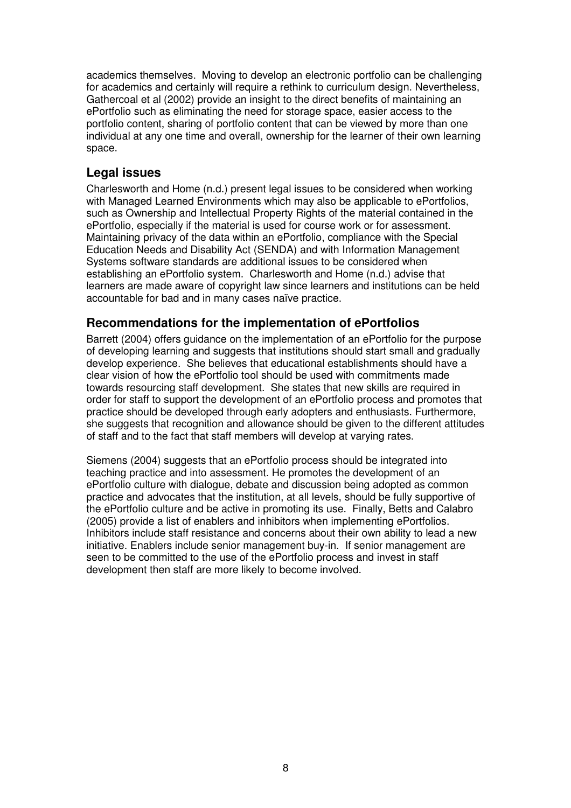academics themselves. Moving to develop an electronic portfolio can be challenging for academics and certainly will require a rethink to curriculum design. Nevertheless, Gathercoal et al (2002) provide an insight to the direct benefits of maintaining an ePortfolio such as eliminating the need for storage space, easier access to the portfolio content, sharing of portfolio content that can be viewed by more than one individual at any one time and overall, ownership for the learner of their own learning space.

#### **Legal issues**

Charlesworth and Home (n.d.) present legal issues to be considered when working with Managed Learned Environments which may also be applicable to ePortfolios, such as Ownership and Intellectual Property Rights of the material contained in the ePortfolio, especially if the material is used for course work or for assessment. Maintaining privacy of the data within an ePortfolio, compliance with the Special Education Needs and Disability Act (SENDA) and with Information Management Systems software standards are additional issues to be considered when establishing an ePortfolio system. Charlesworth and Home (n.d.) advise that learners are made aware of copyright law since learners and institutions can be held accountable for bad and in many cases naïve practice.

#### **Recommendations for the implementation of ePortfolios**

Barrett (2004) offers guidance on the implementation of an ePortfolio for the purpose of developing learning and suggests that institutions should start small and gradually develop experience. She believes that educational establishments should have a clear vision of how the ePortfolio tool should be used with commitments made towards resourcing staff development. She states that new skills are required in order for staff to support the development of an ePortfolio process and promotes that practice should be developed through early adopters and enthusiasts. Furthermore, she suggests that recognition and allowance should be given to the different attitudes of staff and to the fact that staff members will develop at varying rates.

Siemens (2004) suggests that an ePortfolio process should be integrated into teaching practice and into assessment. He promotes the development of an ePortfolio culture with dialogue, debate and discussion being adopted as common practice and advocates that the institution, at all levels, should be fully supportive of the ePortfolio culture and be active in promoting its use. Finally, Betts and Calabro (2005) provide a list of enablers and inhibitors when implementing ePortfolios. Inhibitors include staff resistance and concerns about their own ability to lead a new initiative. Enablers include senior management buy-in. If senior management are seen to be committed to the use of the ePortfolio process and invest in staff development then staff are more likely to become involved.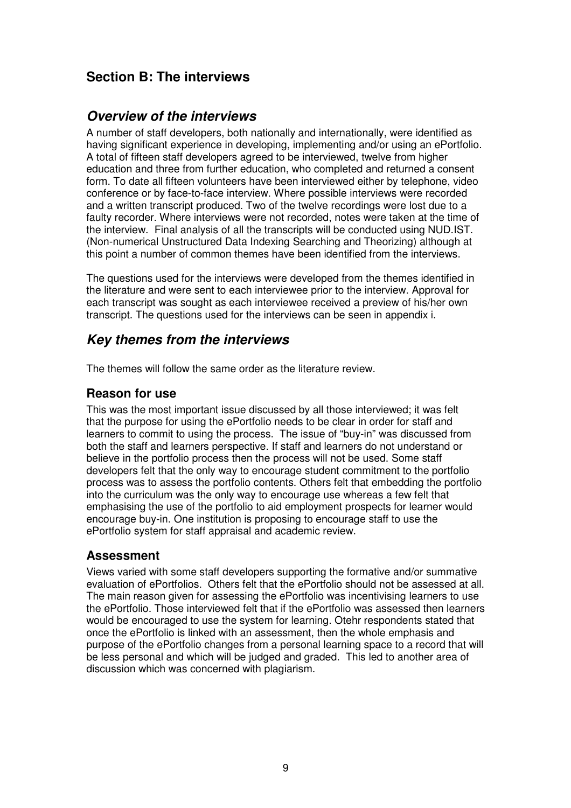## **Section B: The interviews**

#### **Overview of the interviews**

A number of staff developers, both nationally and internationally, were identified as having significant experience in developing, implementing and/or using an ePortfolio. A total of fifteen staff developers agreed to be interviewed, twelve from higher education and three from further education, who completed and returned a consent form. To date all fifteen volunteers have been interviewed either by telephone, video conference or by face-to-face interview. Where possible interviews were recorded and a written transcript produced. Two of the twelve recordings were lost due to a faulty recorder. Where interviews were not recorded, notes were taken at the time of the interview. Final analysis of all the transcripts will be conducted using NUD.IST. (Non-numerical Unstructured Data Indexing Searching and Theorizing) although at this point a number of common themes have been identified from the interviews.

The questions used for the interviews were developed from the themes identified in the literature and were sent to each interviewee prior to the interview. Approval for each transcript was sought as each interviewee received a preview of his/her own transcript. The questions used for the interviews can be seen in appendix i.

## **Key themes from the interviews**

The themes will follow the same order as the literature review.

#### **Reason for use**

This was the most important issue discussed by all those interviewed; it was felt that the purpose for using the ePortfolio needs to be clear in order for staff and learners to commit to using the process. The issue of "buy-in" was discussed from both the staff and learners perspective. If staff and learners do not understand or believe in the portfolio process then the process will not be used. Some staff developers felt that the only way to encourage student commitment to the portfolio process was to assess the portfolio contents. Others felt that embedding the portfolio into the curriculum was the only way to encourage use whereas a few felt that emphasising the use of the portfolio to aid employment prospects for learner would encourage buy-in. One institution is proposing to encourage staff to use the ePortfolio system for staff appraisal and academic review.

#### **Assessment**

Views varied with some staff developers supporting the formative and/or summative evaluation of ePortfolios. Others felt that the ePortfolio should not be assessed at all. The main reason given for assessing the ePortfolio was incentivising learners to use the ePortfolio. Those interviewed felt that if the ePortfolio was assessed then learners would be encouraged to use the system for learning. Otehr respondents stated that once the ePortfolio is linked with an assessment, then the whole emphasis and purpose of the ePortfolio changes from a personal learning space to a record that will be less personal and which will be judged and graded. This led to another area of discussion which was concerned with plagiarism.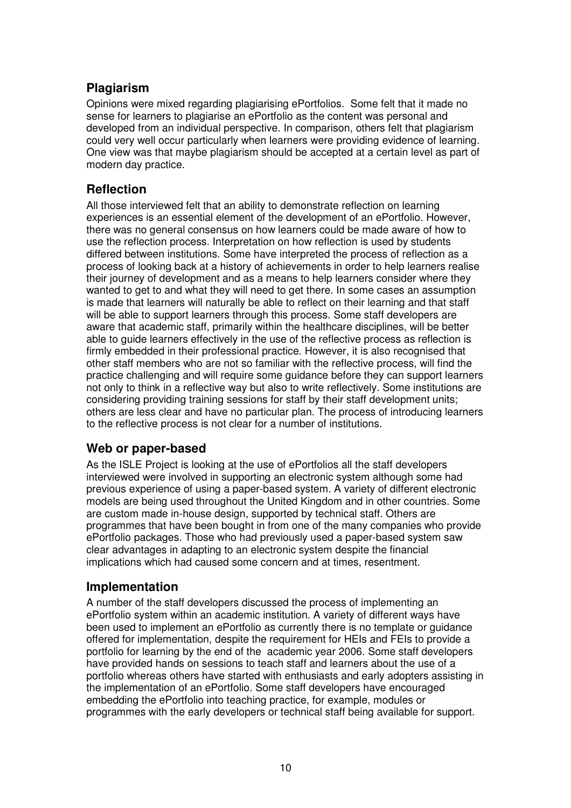### **Plagiarism**

Opinions were mixed regarding plagiarising ePortfolios. Some felt that it made no sense for learners to plagiarise an ePortfolio as the content was personal and developed from an individual perspective. In comparison, others felt that plagiarism could very well occur particularly when learners were providing evidence of learning. One view was that maybe plagiarism should be accepted at a certain level as part of modern day practice.

#### **Reflection**

All those interviewed felt that an ability to demonstrate reflection on learning experiences is an essential element of the development of an ePortfolio. However, there was no general consensus on how learners could be made aware of how to use the reflection process. Interpretation on how reflection is used by students differed between institutions. Some have interpreted the process of reflection as a process of looking back at a history of achievements in order to help learners realise their journey of development and as a means to help learners consider where they wanted to get to and what they will need to get there. In some cases an assumption is made that learners will naturally be able to reflect on their learning and that staff will be able to support learners through this process. Some staff developers are aware that academic staff, primarily within the healthcare disciplines, will be better able to guide learners effectively in the use of the reflective process as reflection is firmly embedded in their professional practice. However, it is also recognised that other staff members who are not so familiar with the reflective process, will find the practice challenging and will require some guidance before they can support learners not only to think in a reflective way but also to write reflectively. Some institutions are considering providing training sessions for staff by their staff development units; others are less clear and have no particular plan. The process of introducing learners to the reflective process is not clear for a number of institutions.

#### **Web or paper-based**

As the ISLE Project is looking at the use of ePortfolios all the staff developers interviewed were involved in supporting an electronic system although some had previous experience of using a paper-based system. A variety of different electronic models are being used throughout the United Kingdom and in other countries. Some are custom made in-house design, supported by technical staff. Others are programmes that have been bought in from one of the many companies who provide ePortfolio packages. Those who had previously used a paper-based system saw clear advantages in adapting to an electronic system despite the financial implications which had caused some concern and at times, resentment.

#### **Implementation**

A number of the staff developers discussed the process of implementing an ePortfolio system within an academic institution. A variety of different ways have been used to implement an ePortfolio as currently there is no template or guidance offered for implementation, despite the requirement for HEIs and FEIs to provide a portfolio for learning by the end of the academic year 2006. Some staff developers have provided hands on sessions to teach staff and learners about the use of a portfolio whereas others have started with enthusiasts and early adopters assisting in the implementation of an ePortfolio. Some staff developers have encouraged embedding the ePortfolio into teaching practice, for example, modules or programmes with the early developers or technical staff being available for support.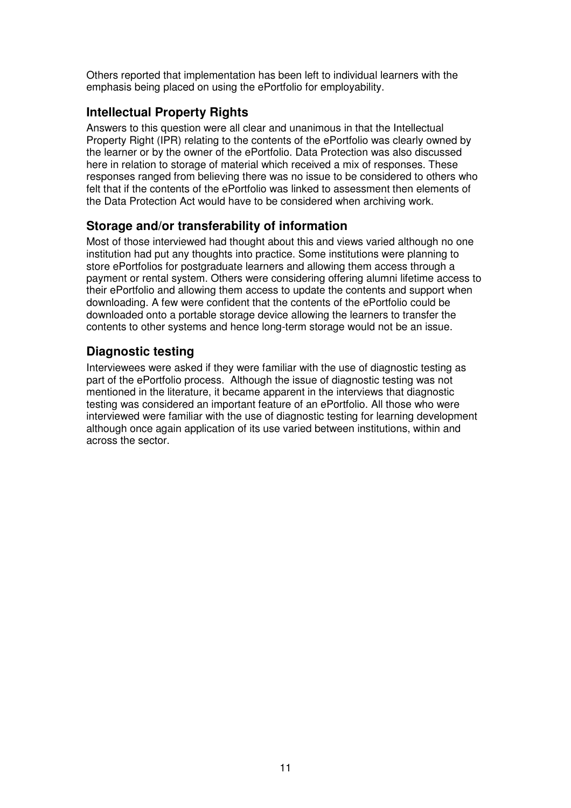Others reported that implementation has been left to individual learners with the emphasis being placed on using the ePortfolio for employability.

#### **Intellectual Property Rights**

Answers to this question were all clear and unanimous in that the Intellectual Property Right (IPR) relating to the contents of the ePortfolio was clearly owned by the learner or by the owner of the ePortfolio. Data Protection was also discussed here in relation to storage of material which received a mix of responses. These responses ranged from believing there was no issue to be considered to others who felt that if the contents of the ePortfolio was linked to assessment then elements of the Data Protection Act would have to be considered when archiving work.

#### **Storage and/or transferability of information**

Most of those interviewed had thought about this and views varied although no one institution had put any thoughts into practice. Some institutions were planning to store ePortfolios for postgraduate learners and allowing them access through a payment or rental system. Others were considering offering alumni lifetime access to their ePortfolio and allowing them access to update the contents and support when downloading. A few were confident that the contents of the ePortfolio could be downloaded onto a portable storage device allowing the learners to transfer the contents to other systems and hence long-term storage would not be an issue.

### **Diagnostic testing**

Interviewees were asked if they were familiar with the use of diagnostic testing as part of the ePortfolio process. Although the issue of diagnostic testing was not mentioned in the literature, it became apparent in the interviews that diagnostic testing was considered an important feature of an ePortfolio. All those who were interviewed were familiar with the use of diagnostic testing for learning development although once again application of its use varied between institutions, within and across the sector.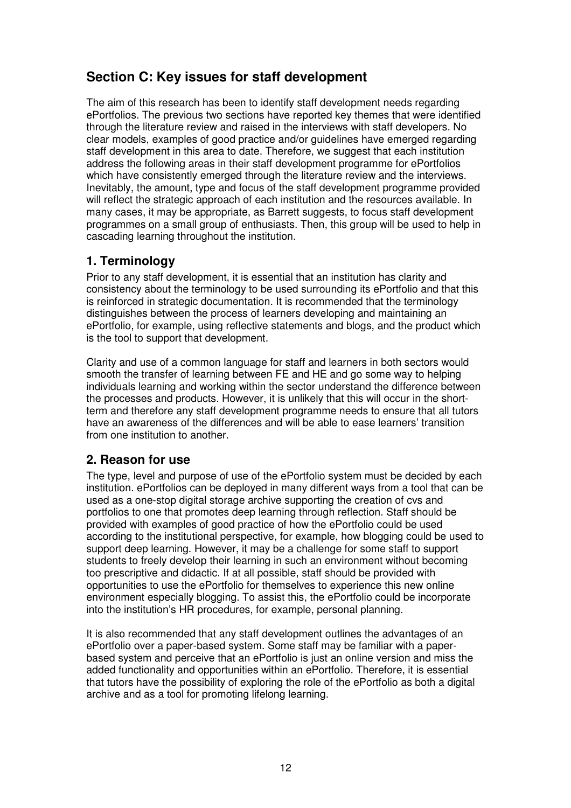## **Section C: Key issues for staff development**

The aim of this research has been to identify staff development needs regarding ePortfolios. The previous two sections have reported key themes that were identified through the literature review and raised in the interviews with staff developers. No clear models, examples of good practice and/or guidelines have emerged regarding staff development in this area to date. Therefore, we suggest that each institution address the following areas in their staff development programme for ePortfolios which have consistently emerged through the literature review and the interviews. Inevitably, the amount, type and focus of the staff development programme provided will reflect the strategic approach of each institution and the resources available. In many cases, it may be appropriate, as Barrett suggests, to focus staff development programmes on a small group of enthusiasts. Then, this group will be used to help in cascading learning throughout the institution.

### **1. Terminology**

Prior to any staff development, it is essential that an institution has clarity and consistency about the terminology to be used surrounding its ePortfolio and that this is reinforced in strategic documentation. It is recommended that the terminology distinguishes between the process of learners developing and maintaining an ePortfolio, for example, using reflective statements and blogs, and the product which is the tool to support that development.

Clarity and use of a common language for staff and learners in both sectors would smooth the transfer of learning between FE and HE and go some way to helping individuals learning and working within the sector understand the difference between the processes and products. However, it is unlikely that this will occur in the shortterm and therefore any staff development programme needs to ensure that all tutors have an awareness of the differences and will be able to ease learners' transition from one institution to another.

#### **2. Reason for use**

The type, level and purpose of use of the ePortfolio system must be decided by each institution. ePortfolios can be deployed in many different ways from a tool that can be used as a one-stop digital storage archive supporting the creation of cvs and portfolios to one that promotes deep learning through reflection. Staff should be provided with examples of good practice of how the ePortfolio could be used according to the institutional perspective, for example, how blogging could be used to support deep learning. However, it may be a challenge for some staff to support students to freely develop their learning in such an environment without becoming too prescriptive and didactic. If at all possible, staff should be provided with opportunities to use the ePortfolio for themselves to experience this new online environment especially blogging. To assist this, the ePortfolio could be incorporate into the institution's HR procedures, for example, personal planning.

It is also recommended that any staff development outlines the advantages of an ePortfolio over a paper-based system. Some staff may be familiar with a paperbased system and perceive that an ePortfolio is just an online version and miss the added functionality and opportunities within an ePortfolio. Therefore, it is essential that tutors have the possibility of exploring the role of the ePortfolio as both a digital archive and as a tool for promoting lifelong learning.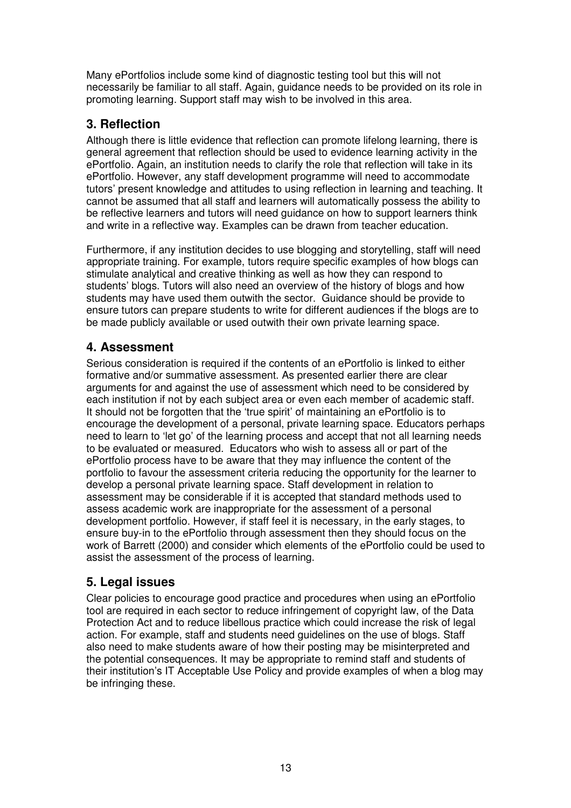Many ePortfolios include some kind of diagnostic testing tool but this will not necessarily be familiar to all staff. Again, guidance needs to be provided on its role in promoting learning. Support staff may wish to be involved in this area.

### **3. Reflection**

Although there is little evidence that reflection can promote lifelong learning, there is general agreement that reflection should be used to evidence learning activity in the ePortfolio. Again, an institution needs to clarify the role that reflection will take in its ePortfolio. However, any staff development programme will need to accommodate tutors' present knowledge and attitudes to using reflection in learning and teaching. It cannot be assumed that all staff and learners will automatically possess the ability to be reflective learners and tutors will need guidance on how to support learners think and write in a reflective way. Examples can be drawn from teacher education.

Furthermore, if any institution decides to use blogging and storytelling, staff will need appropriate training. For example, tutors require specific examples of how blogs can stimulate analytical and creative thinking as well as how they can respond to students' blogs. Tutors will also need an overview of the history of blogs and how students may have used them outwith the sector. Guidance should be provide to ensure tutors can prepare students to write for different audiences if the blogs are to be made publicly available or used outwith their own private learning space.

### **4. Assessment**

Serious consideration is required if the contents of an ePortfolio is linked to either formative and/or summative assessment. As presented earlier there are clear arguments for and against the use of assessment which need to be considered by each institution if not by each subject area or even each member of academic staff. It should not be forgotten that the 'true spirit' of maintaining an ePortfolio is to encourage the development of a personal, private learning space. Educators perhaps need to learn to 'let go' of the learning process and accept that not all learning needs to be evaluated or measured. Educators who wish to assess all or part of the ePortfolio process have to be aware that they may influence the content of the portfolio to favour the assessment criteria reducing the opportunity for the learner to develop a personal private learning space. Staff development in relation to assessment may be considerable if it is accepted that standard methods used to assess academic work are inappropriate for the assessment of a personal development portfolio. However, if staff feel it is necessary, in the early stages, to ensure buy-in to the ePortfolio through assessment then they should focus on the work of Barrett (2000) and consider which elements of the ePortfolio could be used to assist the assessment of the process of learning.

## **5. Legal issues**

Clear policies to encourage good practice and procedures when using an ePortfolio tool are required in each sector to reduce infringement of copyright law, of the Data Protection Act and to reduce libellous practice which could increase the risk of legal action. For example, staff and students need guidelines on the use of blogs. Staff also need to make students aware of how their posting may be misinterpreted and the potential consequences. It may be appropriate to remind staff and students of their institution's IT Acceptable Use Policy and provide examples of when a blog may be infringing these.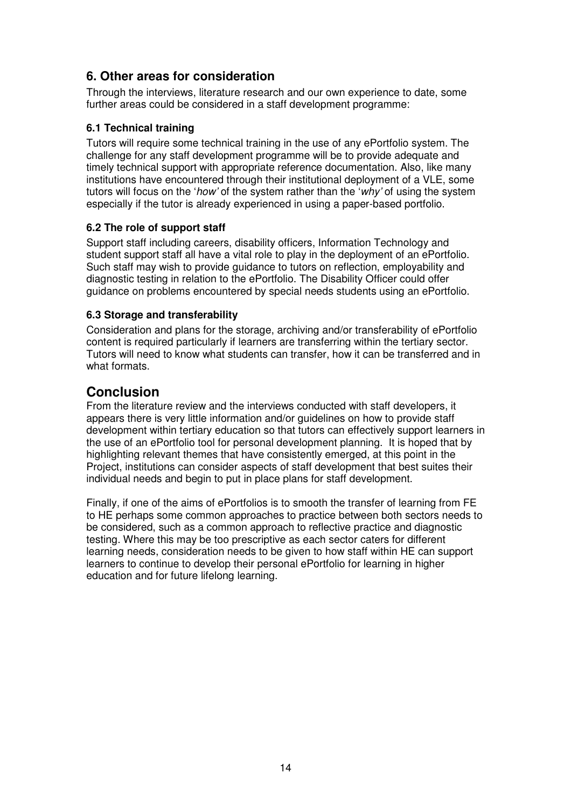#### **6. Other areas for consideration**

Through the interviews, literature research and our own experience to date, some further areas could be considered in a staff development programme:

#### **6.1 Technical training**

Tutors will require some technical training in the use of any ePortfolio system. The challenge for any staff development programme will be to provide adequate and timely technical support with appropriate reference documentation. Also, like many institutions have encountered through their institutional deployment of a VLE, some tutors will focus on the 'how' of the system rather than the 'why' of using the system especially if the tutor is already experienced in using a paper-based portfolio.

#### **6.2 The role of support staff**

Support staff including careers, disability officers, Information Technology and student support staff all have a vital role to play in the deployment of an ePortfolio. Such staff may wish to provide guidance to tutors on reflection, employability and diagnostic testing in relation to the ePortfolio. The Disability Officer could offer guidance on problems encountered by special needs students using an ePortfolio.

#### **6.3 Storage and transferability**

Consideration and plans for the storage, archiving and/or transferability of ePortfolio content is required particularly if learners are transferring within the tertiary sector. Tutors will need to know what students can transfer, how it can be transferred and in what formats.

#### **Conclusion**

From the literature review and the interviews conducted with staff developers, it appears there is very little information and/or guidelines on how to provide staff development within tertiary education so that tutors can effectively support learners in the use of an ePortfolio tool for personal development planning. It is hoped that by highlighting relevant themes that have consistently emerged, at this point in the Project, institutions can consider aspects of staff development that best suites their individual needs and begin to put in place plans for staff development.

Finally, if one of the aims of ePortfolios is to smooth the transfer of learning from FE to HE perhaps some common approaches to practice between both sectors needs to be considered, such as a common approach to reflective practice and diagnostic testing. Where this may be too prescriptive as each sector caters for different learning needs, consideration needs to be given to how staff within HE can support learners to continue to develop their personal ePortfolio for learning in higher education and for future lifelong learning.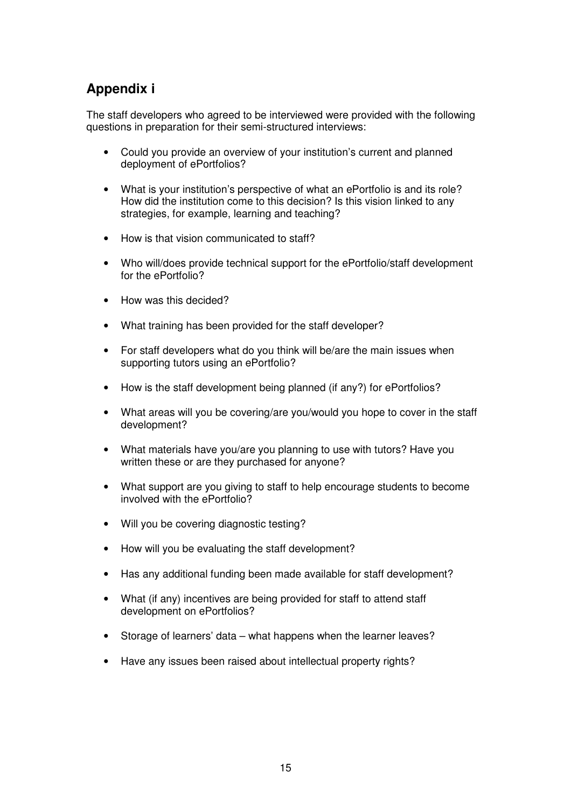## **Appendix i**

The staff developers who agreed to be interviewed were provided with the following questions in preparation for their semi-structured interviews:

- Could you provide an overview of your institution's current and planned deployment of ePortfolios?
- What is your institution's perspective of what an ePortfolio is and its role? How did the institution come to this decision? Is this vision linked to any strategies, for example, learning and teaching?
- How is that vision communicated to staff?
- Who will/does provide technical support for the ePortfolio/staff development for the ePortfolio?
- How was this decided?
- What training has been provided for the staff developer?
- For staff developers what do you think will be/are the main issues when supporting tutors using an ePortfolio?
- How is the staff development being planned (if any?) for ePortfolios?
- What areas will you be covering/are you/would you hope to cover in the staff development?
- What materials have you/are you planning to use with tutors? Have you written these or are they purchased for anyone?
- What support are you giving to staff to help encourage students to become involved with the ePortfolio?
- Will you be covering diagnostic testing?
- How will you be evaluating the staff development?
- Has any additional funding been made available for staff development?
- What (if any) incentives are being provided for staff to attend staff development on ePortfolios?
- Storage of learners' data what happens when the learner leaves?
- Have any issues been raised about intellectual property rights?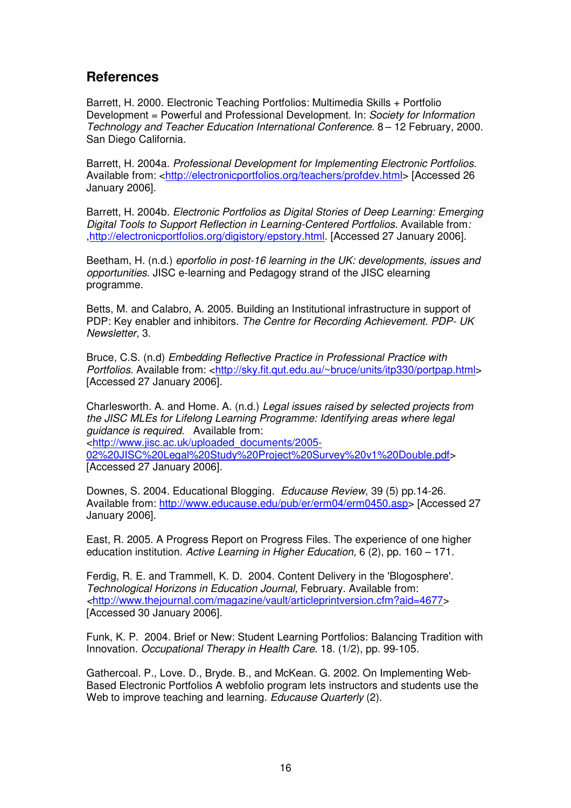#### **References**

Barrett, H. 2000. Electronic Teaching Portfolios: Multimedia Skills + Portfolio Development = Powerful and Professional Development. In: Society for Information Technology and Teacher Education International Conference. 8 – 12 February, 2000. San Diego California.

Barrett, H. 2004a. Professional Development for Implementing Electronic Portfolios. Available from: <http://electronicportfolios.org/teachers/profdev.html> [Accessed 26 January 2006].

Barrett, H. 2004b. Electronic Portfolios as Digital Stories of Deep Learning: Emerging Digital Tools to Support Reflection in Learning-Centered Portfolios. Available from: ,http://electronicportfolios.org/digistory/epstory.html. [Accessed 27 January 2006].

Beetham, H. (n.d.) eporfolio in post-16 learning in the UK: developments, issues and opportunities. JISC e-learning and Pedagogy strand of the JISC elearning programme.

Betts, M. and Calabro, A. 2005. Building an Institutional infrastructure in support of PDP: Key enabler and inhibitors. The Centre for Recording Achievement. PDP- UK Newsletter, 3.

Bruce, C.S. (n.d) Embedding Reflective Practice in Professional Practice with Portfolios. Available from: <http://sky.fit.qut.edu.au/~bruce/units/itp330/portpap.html> [Accessed 27 January 2006].

Charlesworth. A. and Home. A. (n.d.) Legal issues raised by selected projects from the JISC MLEs for Lifelong Learning Programme: Identifying areas where legal guidance is required. Available from: <http://www.jisc.ac.uk/uploaded\_documents/2005-

02%20JISC%20Legal%20Study%20Project%20Survey%20v1%20Double.pdf> [Accessed 27 January 2006].

Downes, S. 2004. Educational Blogging. Educause Review, 39 (5) pp.14-26. Available from: http://www.educause.edu/pub/er/erm04/erm0450.asp> [Accessed 27 January 2006].

East, R. 2005. A Progress Report on Progress Files. The experience of one higher education institution. Active Learning in Higher Education, 6 (2), pp. 160 – 171.

Ferdig, R. E. and Trammell, K. D. 2004. Content Delivery in the 'Blogosphere'. Technological Horizons in Education Journal, February. Available from: <http://www.thejournal.com/magazine/vault/articleprintversion.cfm?aid=4677> [Accessed 30 January 2006].

Funk, K. P. 2004. Brief or New: Student Learning Portfolios: Balancing Tradition with Innovation. Occupational Therapy in Health Care. 18. (1/2), pp. 99-105.

Gathercoal. P., Love. D., Bryde. B., and McKean. G. 2002. On Implementing Web-Based Electronic Portfolios A webfolio program lets instructors and students use the Web to improve teaching and learning. Educause Quarterly (2).